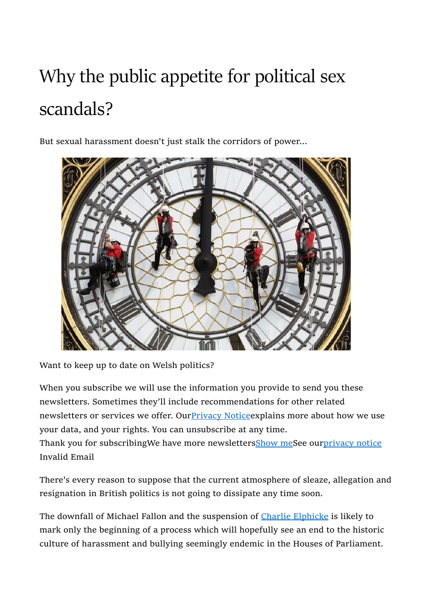## Why the public appetite for political sex scandals?

But sexual harassment doesn't just stalk the corridors of power...



Want to keep up to date on Welsh politics?

When you subscribe we will use the information you provide to send you these newsletters. Sometimes they'll include recommendations for other related newsletters or services we offer. Our Privacy Notice explains more about how we use your data, and your rights. You can unsubscribe at any time.

Thank you for subscribingWe have more newsletters**Show meSee ourprivacy notice** Invalid Email

There's every reason to suppose that the current atmosphere of sleaze, allegation and resignation in British politics is not going to dissipate any time soon.

The downfall of Michael Fallon and the suspension of Charlie Elphicke is likely to mark only the beginning of a process which will hopefully see an end to the historic culture of harassment and bullying seemingly endemic in the Houses of Parliament.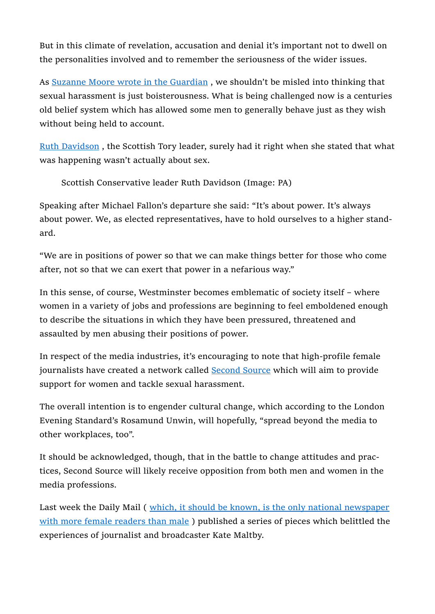But in this climate of revelation, accusation and denial it's important not to dwell on the personalities involved and to remember the seriousness of the wider issues.

As Suzanne Moore wrote in the Guardian , we shouldn't be misled into thinking that sexual harassment is just boisterousness. What is being challenged now is a centuries old belief system which has allowed some men to generally behave just as they wish without being held to account.

Ruth Davidson , the Scottish Tory leader, surely had it right when she stated that what was happening wasn't actually about sex.

Scottish Conservative leader Ruth Davidson (Image: PA)

Speaking after Michael Fallon's departure she said: "It's about power. It's always about power. We, as elected representatives, have to hold ourselves to a higher standard.

"We are in positions of power so that we can make things better for those who come after, not so that we can exert that power in a nefarious way."

In this sense, of course, Westminster becomes emblematic of society itself – where women in a variety of jobs and professions are beginning to feel emboldened enough to describe the situations in which they have been pressured, threatened and assaulted by men abusing their positions of power.

In respect of the media industries, it's encouraging to note that high-profile female journalists have created a network called Second Source which will aim to provide support for women and tackle sexual harassment.

The overall intention is to engender cultural change, which according to the London Evening Standard's Rosamund Unwin, will hopefully, "spread beyond the media to other workplaces, too".

It should be acknowledged, though, that in the battle to change attitudes and practices, Second Source will likely receive opposition from both men and women in the media professions.

Last week the Daily Mail (*which, it should be known, is the only national newspaper* with more female readers than male ) published a series of pieces which belittled the experiences of journalist and broadcaster Kate Maltby.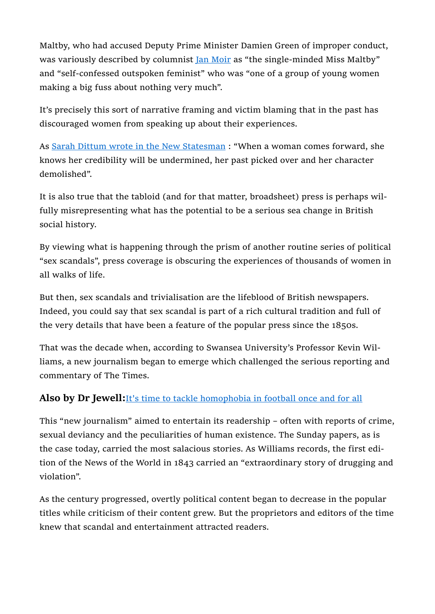Maltby, who had accused Deputy Prime Minister Damien Green of improper conduct, was variously described by columnist *Jan Moir* as "the single-minded Miss Maltby" and "self-confessed outspoken feminist" who was "one of a group of young women making a big fuss about nothing very much".

It's precisely this sort of narrative framing and victim blaming that in the past has discouraged women from speaking up about their experiences.

As Sarah Dittum wrote in the New Statesman : "When a woman comes forward, she knows her credibility will be undermined, her past picked over and her character demolished".

It is also true that the tabloid (and for that matter, broadsheet) press is perhaps wilfully misrepresenting what has the potential to be a serious sea change in British social history.

By viewing what is happening through the prism of another routine series of political "sex scandals", press coverage is obscuring the experiences of thousands of women in all walks of life.

But then, sex scandals and trivialisation are the lifeblood of British newspapers. Indeed, you could say that sex scandal is part of a rich cultural tradition and full of the very details that have been a feature of the popular press since the 1850s.

That was the decade when, according to Swansea University's Professor Kevin Williams, a new journalism began to emerge which challenged the serious reporting and commentary of The Times.

## Also by Dr Jewell: It's time to tackle homophobia in football once and for all

This "new journalism" aimed to entertain its readership – often with reports of crime, sexual deviancy and the peculiarities of human existence. The Sunday papers, as is the case today, carried the most salacious stories. As Williams records, the first edition of the News of the World in 1843 carried an "extraordinary story of drugging and violation".

As the century progressed, overtly political content began to decrease in the popular titles while criticism of their content grew. But the proprietors and editors of the time knew that scandal and entertainment attracted readers.